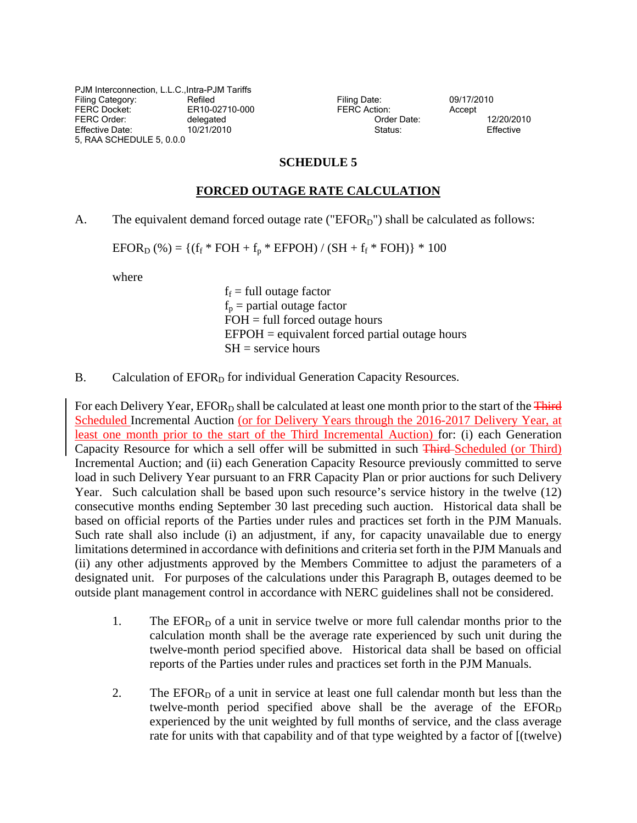PJM Interconnection, L.L.C.,Intra-PJM Tariffs Filing Category: The Refiled Refiled Filing Date: 09/17/2010<br>
FERC Docket: ER10-02710-000 FERC Action: Accept FERC Order: delegated details and delegated of the Order Date: 12/20/2010 Effective Date: 10/21/2010 Status: Effective Date: Effective 5, RAA SCHEDULE 5, 0.0.0

FERC Docket: ER10-02710-000 FERC Action: Accept

## **SCHEDULE 5**

## **FORCED OUTAGE RATE CALCULATION**

A. The equivalent demand forced outage rate (" $EFOR<sub>D</sub>$ ") shall be calculated as follows:

 $EFOR<sub>D</sub>$  (%) = {(f<sub>f</sub> \* FOH + f<sub>p</sub> \* EFPOH) / (SH + f<sub>f</sub> \* FOH)} \* 100

where

 $f_f$  = full outage factor  $f_p$  = partial outage factor  $FOH = full forced outage hours$  $EFPOH =$  equivalent forced partial outage hours  $SH =$  service hours

B. Calculation of  $EFOR<sub>D</sub>$  for individual Generation Capacity Resources.

For each Delivery Year, EFOR<sub>D</sub> shall be calculated at least one month prior to the start of the Third Scheduled Incremental Auction (or for Delivery Years through the 2016-2017 Delivery Year, at least one month prior to the start of the Third Incremental Auction) for: (i) each Generation Capacity Resource for which a sell offer will be submitted in such Third Scheduled (or Third) Incremental Auction; and (ii) each Generation Capacity Resource previously committed to serve load in such Delivery Year pursuant to an FRR Capacity Plan or prior auctions for such Delivery Year. Such calculation shall be based upon such resource's service history in the twelve (12) consecutive months ending September 30 last preceding such auction. Historical data shall be based on official reports of the Parties under rules and practices set forth in the PJM Manuals. Such rate shall also include (i) an adjustment, if any, for capacity unavailable due to energy limitations determined in accordance with definitions and criteria set forth in the PJM Manuals and (ii) any other adjustments approved by the Members Committee to adjust the parameters of a designated unit. For purposes of the calculations under this Paragraph B, outages deemed to be outside plant management control in accordance with NERC guidelines shall not be considered.

- 1. The  $EFOR<sub>D</sub>$  of a unit in service twelve or more full calendar months prior to the calculation month shall be the average rate experienced by such unit during the twelve-month period specified above. Historical data shall be based on official reports of the Parties under rules and practices set forth in the PJM Manuals.
- 2. The  $EFOR<sub>D</sub>$  of a unit in service at least one full calendar month but less than the twelve-month period specified above shall be the average of the  $EFOR<sub>D</sub>$ experienced by the unit weighted by full months of service, and the class average rate for units with that capability and of that type weighted by a factor of [(twelve)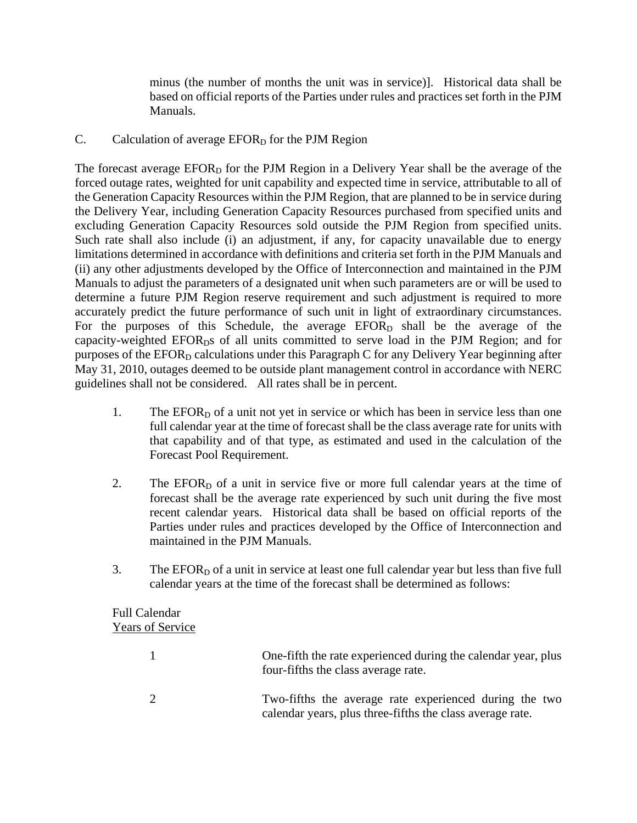minus (the number of months the unit was in service)]. Historical data shall be based on official reports of the Parties under rules and practices set forth in the PJM Manuals.

## C. Calculation of average  $EFOR<sub>D</sub>$  for the PJM Region

The forecast average  $EFOR<sub>D</sub>$  for the PJM Region in a Delivery Year shall be the average of the forced outage rates, weighted for unit capability and expected time in service, attributable to all of the Generation Capacity Resources within the PJM Region, that are planned to be in service during the Delivery Year, including Generation Capacity Resources purchased from specified units and excluding Generation Capacity Resources sold outside the PJM Region from specified units. Such rate shall also include (i) an adjustment, if any, for capacity unavailable due to energy limitations determined in accordance with definitions and criteria set forth in the PJM Manuals and (ii) any other adjustments developed by the Office of Interconnection and maintained in the PJM Manuals to adjust the parameters of a designated unit when such parameters are or will be used to determine a future PJM Region reserve requirement and such adjustment is required to more accurately predict the future performance of such unit in light of extraordinary circumstances. For the purposes of this Schedule, the average  $EFOR<sub>D</sub>$  shall be the average of the capacity-weighted EFOR<sub>D</sub>s of all units committed to serve load in the PJM Region; and for purposes of the  $EFOR<sub>D</sub>$  calculations under this Paragraph C for any Delivery Year beginning after May 31, 2010, outages deemed to be outside plant management control in accordance with NERC guidelines shall not be considered. All rates shall be in percent.

- 1. The  $EFOR<sub>D</sub>$  of a unit not yet in service or which has been in service less than one full calendar year at the time of forecast shall be the class average rate for units with that capability and of that type, as estimated and used in the calculation of the Forecast Pool Requirement.
- 2. The EFOR $<sub>D</sub>$  of a unit in service five or more full calendar years at the time of</sub> forecast shall be the average rate experienced by such unit during the five most recent calendar years. Historical data shall be based on official reports of the Parties under rules and practices developed by the Office of Interconnection and maintained in the PJM Manuals.
- 3. The  $EFOR<sub>D</sub>$  of a unit in service at least one full calendar year but less than five full calendar years at the time of the forecast shall be determined as follows:

## Full Calendar Years of Service

| One-fifth the rate experienced during the calendar year, plus<br>four-fifths the class average rate.                |
|---------------------------------------------------------------------------------------------------------------------|
| Two-fifths the average rate experienced during the two<br>calendar years, plus three-fifths the class average rate. |